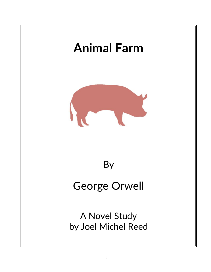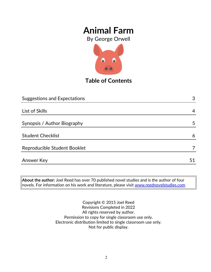By George Orwell



**Table of Contents**

| <b>Suggestions and Expectations</b> | 3  |
|-------------------------------------|----|
|                                     |    |
| List of Skills                      | 4  |
| Synopsis / Author Biography         | 5  |
| <b>Student Checklist</b>            | 6  |
| Reproducible Student Booklet        | 7  |
| Answer Key                          | 51 |

**About the author:** Joel Reed has over 70 published novel studies and is the author of four  $|$ novels. For information on his work and literature, please visit  $\overline{\color{red}$  [www.reednovelstudies.com](http://www.reednovelstudies.com/)

> Copyright © 2015 Joel Reed Revisions Completed in 2022 All rights reserved by author. Permission to copy for single classroom use only. Electronic distribution limited to single classroom use only. Not for public display.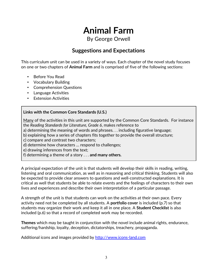By George Orwell

### **Suggestions and Expectations**

This curriculum unit can be used in a variety of ways. Each chapter of the novel study focuses on one or two chapters of **Animal Farm** and is comprised of five of the following sections:

- Before You Read
- Vocabulary Building
- Comprehension Questions
- Language Activities
- Extension Activities

#### **Links with the Common Core Standards (U.S.)**

Many of the activities in this unit are supported by the Common Core Standards. For instance the *Reading Standards for Literature, Grade 6*, makes reference to

- a) determining the meaning of words and phrases. . . including figurative language;
- b) explaining how a series of chapters fits together to provide the overall structure;
- c) compare and contrast two characters;
- d) determine how characters … respond to challenges;
- e) drawing inferences from the text;
- f) determining a theme of a story . . . **and many others.**

A principal expectation of the unit is that students will develop their skills in reading, writing, listening and oral communication, as well as in reasoning and critical thinking. Students will also be expected to provide clear answers to questions and well-constructed explanations. It is critical as well that students be able to relate events and the feelings of characters to their own lives and experiences and describe their own interpretation of a particular passage.

A strength of the unit is that students can work on the activities at their own pace. Every activity need not be completed by all students. A **portfolio cover** is included (p.7) so that students may organize their work and keep it all in one place. A **Student Checklist** is also included (p.6) so that a record of completed work may be recorded.

**Themes** which may be taught in conjunction with the novel include animal rights, endurance, suffering/hardship, loyalty, deception, dictatorships, treachery, propaganda.

Additional icons and images provided by [http://www.icons-land.com](http://www.icons-land.com/)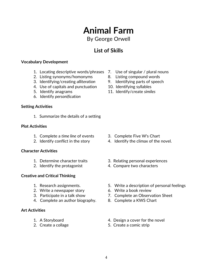### By George Orwell

## **List of Skills**

#### **Vocabulary Development**

- 1. Locating descriptive words/phrases 7. Use of singular / plural nouns
- 2. Listing synonyms/homonyms 8. Listing compound words
- 3. Identifying/creating *alliteration* 9. Identifying parts of speech
- 4. Use of capitals and punctuation 10. Identifying syllables
- 
- 6. Identify *personification*

#### **Setting Activities**

1. Summarize the details of a setting

#### **Plot Activities**

- 1. Complete a *time line* of events 3. Complete Five W's Chart
- 

#### **Character Activities**

- 
- 

#### **Creative and Critical Thinking**

- 
- 2. Write a newspaper story 6. Write a book review
- 
- 4. Complete an author biography. 8. Complete a KWS Chart

#### **Art Activities**

- 
- 
- 
- 
- 
- 
- 5. Identify anagrams 11. Identify/create *similes*

- 
- 2. Identify conflict in the story 4. Identify the climax of the novel.
- 1. Determine character traits 3. Relating personal experiences
- 2. Identify the protagonist 4. Compare two characters
- 1. Research assignments. 5. Write a description of personal feelings
	-
- 3. Participate in a talk show 7. Complete an Observation Sheet
	-
- 1. A Storyboard **1.** A Storyboard **1.** A Storyboard
- 2. Create a collage 5. Create a comic strip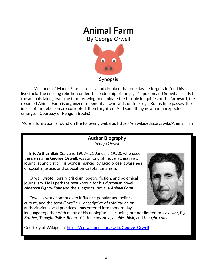By George Orwell



Mr. Jones of Manor Farm is so lazy and drunken that one day he forgets to feed his livestock. The ensuing rebellion under the leadership of the pigs Napoleon and Snowball leads to the animals taking over the farm. Vowing to eliminate the terrible inequities of the farmyard, the renamed Animal Farm is organized to benefit all who walk on four legs. But as time passes, the ideals of the rebellion are corrupted, then forgotten. And something new and unexpected emerges. (Courtesy of Penguin Books)

More information is found on the following website: https://en.wikipedia.org/wiki/Animal\_Farm

#### **Author Biography** *George Orwell*

 **Eric Arthur Blair** (25 June 1903– 21 January 1950), who used the pen name **George Orwell**, was an English novelist, essayist, journalist and critic. His work is marked by lucid prose, awareness of social injustice, and opposition to totalitarianism.

 Orwell wrote literary criticism, poetry, fiction, and polemical journalism. He is perhaps best known for his *dystopian* novel *Nineteen Eighty-Four* and the allegorical novella *Animal Farm*.

 Orwell's work continues to influence popular and political culture, and the term *Orwellian*—descriptive of totalitarian or authoritarian social practices - has entered into modern day



language together with many of his neologisms, including, but not limited to, *cold war*, *Big Brother*, *Thought Police*, *Room 101*, *Memory Hole*, *double-think*, and *thought-crime*.

Courtesy of Wikipedia. [https://en.wikipedia.org/wiki/George\\_Orwell](https://en.wikipedia.org/wiki/George_Orwell)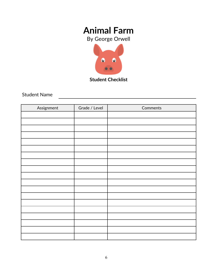By George Orwell



**Student Checklist**

Student Name

| Assignment | Grade / Level | Comments |
|------------|---------------|----------|
|            |               |          |
|            |               |          |
|            |               |          |
|            |               |          |
|            |               |          |
|            |               |          |
|            |               |          |
|            |               |          |
|            |               |          |
|            |               |          |
|            |               |          |
|            |               |          |
|            |               |          |
|            |               |          |
|            |               |          |
|            |               |          |
|            |               |          |
|            |               |          |
|            |               |          |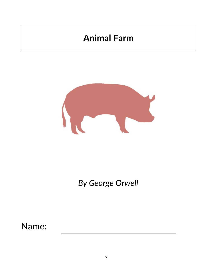

*By George Orwell*

Name: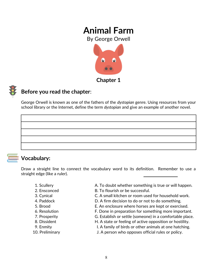By George Orwell





### **Before you read the chapter**:

George Orwell is known as one of the fathers of the *dystopian* genre. Using resources from your school library or the Internet, define the term *dystopian* and give an example of another novel.

### **Vocabulary:**

Draw a straight line to connect the vocabulary word to its definition. Remember to use a straight edge (like a ruler).

- 
- 
- 
- 
- 
- 
- 
- 
- 
- 
- 1. Scullery **A. To doubt whether something is true or will happen.**
- 2. Ensconced B. To flourish or be successful.
- 3. Cynical C. A small kitchen or room used for household work.
- 4. Paddock D. A firm decision to do or not to do something.
- 5. Brood E. An enclosure where horses are kept or exercised.
- 6. Resolution F. Done in preparation for something more important.
- 7. Prosperity G. Establish or settle (someone) in a comfortable place.
- 8. Dissident **H. A state or feeling of active opposition or hostility.**
- 9. Enmity I. A family of birds or other animals at one hatching.
- 10. Preliminary J. A person who opposes official rules or policy.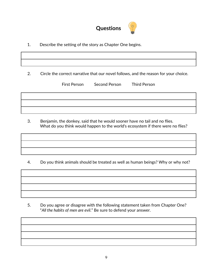

1. Describe the setting of the story as Chapter One begins.

2. Circle the correct narrative that our novel follows, and the reason for your choice.

First Person Second Person Third Person

 3. Benjamin, the donkey, said that he would sooner have no tail and no flies. What do you think would happen to the world's ecosystem if there were no flies?

4. Do you think animals should be treated as well as human beings? Why or why not?

 5. Do you agree or disagree with the following statement taken from Chapter One? "*All the habits of men are evil*." Be sure to defend your answer.

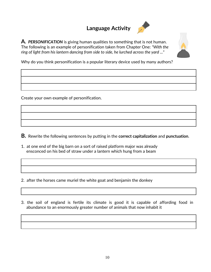# **Language Activity**



**A.** *PERSONIFICATION* is giving human qualities to something that is not human. The following is an example of personification taken from Chapter One: *"With the ring of light from his lantern dancing from side to side, he lurched across the yard ..."* 



Why do you think personification is a popular literary device used by many authors?

Create your own example of personification.

**B.** Rewrite the following sentences by putting in the **correct capitalization** and **punctuation**.

1. at one end of the big barn on a sort of raised platform major was already ensconced on his bed of straw under a lantern which hung from a beam

2. after the horses came muriel the white goat and benjamin the donkey

3. the soil of england is fertile its climate is good it is capable of affording food in abundance to an enormously greater number of animals that now inhabit it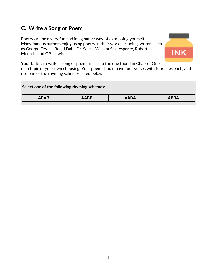### **C. Write a Song or Poem**

Poetry can be a very fun and imaginative way of expressing yourself. Many famous authors enjoy using poetry in their work, including writers such as George Orwell, Roald Dahl, Dr. Seuss, William Shakespeare, Robert Munsch, and C.S. Lewis.



Your task is to write a song or poem similar to the one found in Chapter One, on a topic of your own choosing. Your poem should have four verses with four lines each, and use one of the rhyming schemes listed below.

| Select one of the following rhyming schemes: |             |             |             |
|----------------------------------------------|-------------|-------------|-------------|
| <b>ABAB</b>                                  | <b>AABB</b> | <b>AABA</b> | <b>ABBA</b> |
|                                              |             |             |             |
|                                              |             |             |             |
|                                              |             |             |             |
|                                              |             |             |             |
|                                              |             |             |             |
|                                              |             |             |             |
|                                              |             |             |             |
|                                              |             |             |             |
|                                              |             |             |             |
|                                              |             |             |             |
|                                              |             |             |             |
|                                              |             |             |             |
|                                              |             |             |             |
|                                              |             |             |             |
|                                              |             |             |             |
|                                              |             |             |             |
|                                              |             |             |             |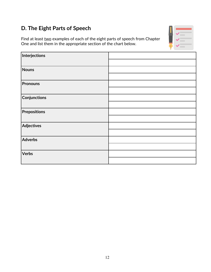# **D. The Eight Parts of Speech**

Find at least two examples of each of the eight parts of speech from Chapter One and list them in the appropriate section of the chart below.

| Interjections       |  |
|---------------------|--|
|                     |  |
| <b>Nouns</b>        |  |
|                     |  |
| <b>Pronouns</b>     |  |
|                     |  |
| Conjunctions        |  |
|                     |  |
| <b>Prepositions</b> |  |
|                     |  |
| <b>Adjectives</b>   |  |
|                     |  |
| Adverbs             |  |
|                     |  |
| <b>Verbs</b>        |  |
|                     |  |